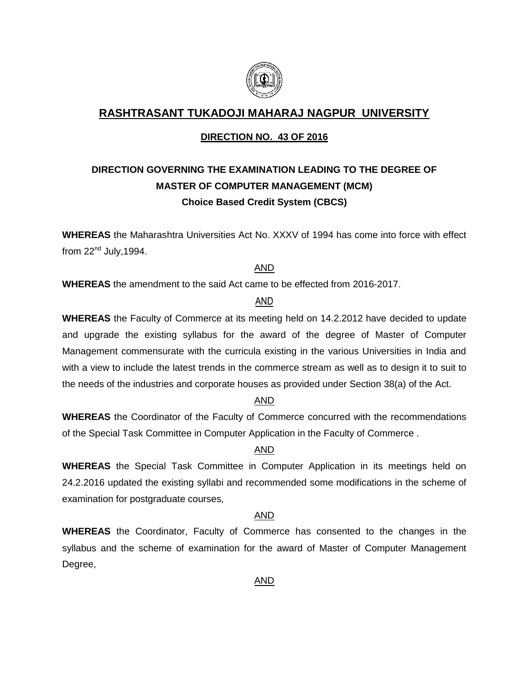

### **RASHTRASANT TUKADOJI MAHARAJ NAGPUR UNIVERSITY**

#### **DIRECTION NO. 43 OF 2016**

### **DIRECTION GOVERNING THE EXAMINATION LEADING TO THE DEGREE OF MASTER OF COMPUTER MANAGEMENT (MCM) Choice Based Credit System (CBCS)**

**WHEREAS** the Maharashtra Universities Act No. XXXV of 1994 has come into force with effect from  $22<sup>nd</sup>$  July, 1994.

#### AND

**WHEREAS** the amendment to the said Act came to be effected from 2016-2017.

#### AND

**WHEREAS** the Faculty of Commerce at its meeting held on 14.2.2012 have decided to update and upgrade the existing syllabus for the award of the degree of Master of Computer Management commensurate with the curricula existing in the various Universities in India and with a view to include the latest trends in the commerce stream as well as to design it to suit to the needs of the industries and corporate houses as provided under Section 38(a) of the Act.

#### AND

**WHEREAS** the Coordinator of the Faculty of Commerce concurred with the recommendations of the Special Task Committee in Computer Application in the Faculty of Commerce .

### AND

**WHEREAS** the Special Task Committee in Computer Application in its meetings held on 24.2.2016 updated the existing syllabi and recommended some modifications in the scheme of examination for postgraduate courses,

#### AND

**WHEREAS** the Coordinator, Faculty of Commerce has consented to the changes in the syllabus and the scheme of examination for the award of Master of Computer Management Degree,

#### AND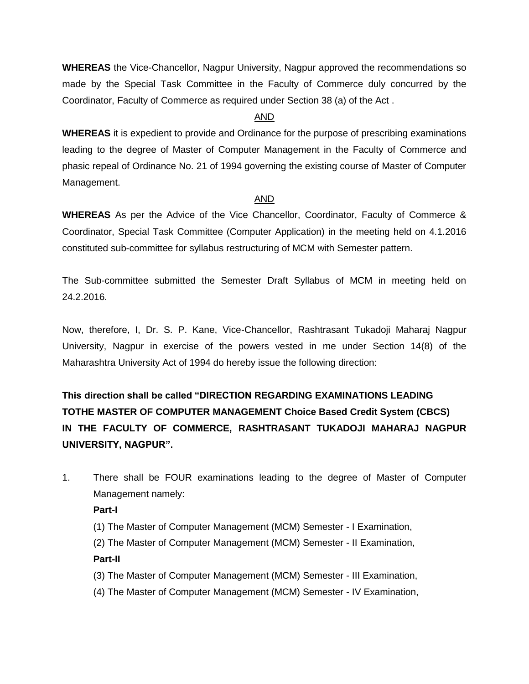**WHEREAS** the Vice-Chancellor, Nagpur University, Nagpur approved the recommendations so made by the Special Task Committee in the Faculty of Commerce duly concurred by the Coordinator, Faculty of Commerce as required under Section 38 (a) of the Act .

#### AND

**WHEREAS** it is expedient to provide and Ordinance for the purpose of prescribing examinations leading to the degree of Master of Computer Management in the Faculty of Commerce and phasic repeal of Ordinance No. 21 of 1994 governing the existing course of Master of Computer Management.

#### AND

**WHEREAS** As per the Advice of the Vice Chancellor, Coordinator, Faculty of Commerce & Coordinator, Special Task Committee (Computer Application) in the meeting held on 4.1.2016 constituted sub-committee for syllabus restructuring of MCM with Semester pattern.

The Sub-committee submitted the Semester Draft Syllabus of MCM in meeting held on 24.2.2016.

Now, therefore, I, Dr. S. P. Kane, Vice-Chancellor, Rashtrasant Tukadoji Maharaj Nagpur University, Nagpur in exercise of the powers vested in me under Section 14(8) of the Maharashtra University Act of 1994 do hereby issue the following direction:

**This direction shall be called "DIRECTION REGARDING EXAMINATIONS LEADING TOTHE MASTER OF COMPUTER MANAGEMENT Choice Based Credit System (CBCS) IN THE FACULTY OF COMMERCE, RASHTRASANT TUKADOJI MAHARAJ NAGPUR UNIVERSITY, NAGPUR".**

1. There shall be FOUR examinations leading to the degree of Master of Computer Management namely:

#### **Part-I**

(1) The Master of Computer Management (MCM) Semester - I Examination,

(2) The Master of Computer Management (MCM) Semester - II Examination,

#### **Part-II**

- (3) The Master of Computer Management (MCM) Semester III Examination,
- (4) The Master of Computer Management (MCM) Semester IV Examination,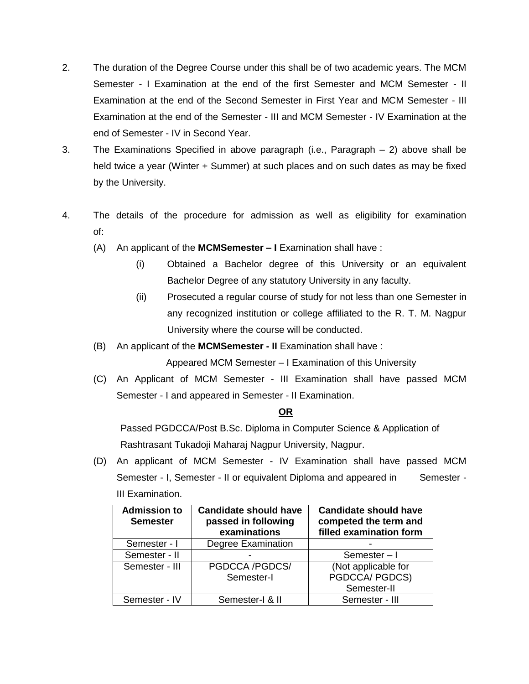- 2. The duration of the Degree Course under this shall be of two academic years. The MCM Semester - I Examination at the end of the first Semester and MCM Semester - II Examination at the end of the Second Semester in First Year and MCM Semester - III Examination at the end of the Semester - III and MCM Semester - IV Examination at the end of Semester - IV in Second Year.
- 3. The Examinations Specified in above paragraph (i.e., Paragraph 2) above shall be held twice a year (Winter + Summer) at such places and on such dates as may be fixed by the University.
- 4. The details of the procedure for admission as well as eligibility for examination of:
	- (A) An applicant of the **MCMSemester – I** Examination shall have :
		- (i) Obtained a Bachelor degree of this University or an equivalent Bachelor Degree of any statutory University in any faculty.
		- (ii) Prosecuted a regular course of study for not less than one Semester in any recognized institution or college affiliated to the R. T. M. Nagpur University where the course will be conducted.
	- (B) An applicant of the **MCMSemester - II** Examination shall have :

Appeared MCM Semester – I Examination of this University

(C) An Applicant of MCM Semester - III Examination shall have passed MCM Semester - I and appeared in Semester - II Examination.

#### **OR**

Passed PGDCCA/Post B.Sc. Diploma in Computer Science & Application of Rashtrasant Tukadoji Maharaj Nagpur University, Nagpur.

(D) An applicant of MCM Semester - IV Examination shall have passed MCM Semester - I, Semester - II or equivalent Diploma and appeared in Semester -III Examination.

| <b>Admission to</b><br><b>Semester</b> | <b>Candidate should have</b><br>passed in following<br>examinations | <b>Candidate should have</b><br>competed the term and<br>filled examination form |
|----------------------------------------|---------------------------------------------------------------------|----------------------------------------------------------------------------------|
| Semester - I                           | <b>Degree Examination</b>                                           |                                                                                  |
| Semester - II                          |                                                                     | Semester-I                                                                       |
| Semester - III                         | PGDCCA /PGDCS/<br>Semester-I                                        | (Not applicable for<br>PGDCCA/ PGDCS)                                            |
|                                        |                                                                     | Semester-II                                                                      |
| Semester - IV                          | Semester-I & II                                                     | Semester - III                                                                   |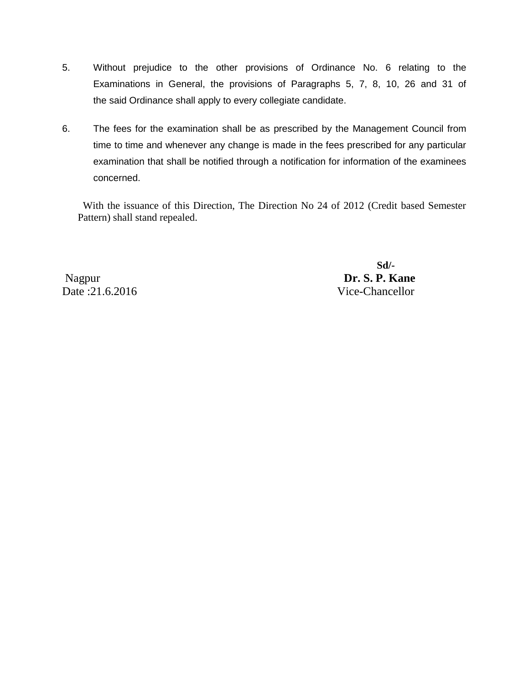- 5. Without prejudice to the other provisions of Ordinance No. 6 relating to the Examinations in General, the provisions of Paragraphs 5, 7, 8, 10, 26 and 31 of the said Ordinance shall apply to every collegiate candidate.
- 6. The fees for the examination shall be as prescribed by the Management Council from time to time and whenever any change is made in the fees prescribed for any particular examination that shall be notified through a notification for information of the examinees concerned.

 With the issuance of this Direction, The Direction No 24 of 2012 (Credit based Semester Pattern) shall stand repealed.

Date :21.6.2016 Vice-Chancellor

 **Sd/-** Nagpur **Dr. S. P. Kane**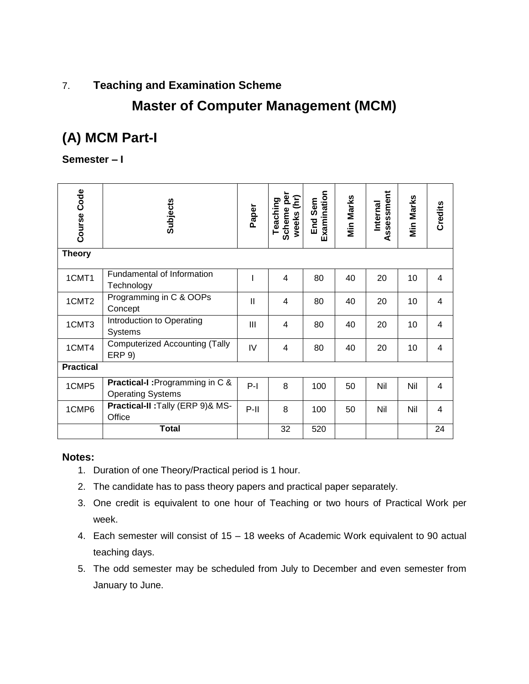### 7. **Teaching and Examination Scheme**

## **Master of Computer Management (MCM)**

# **(A) MCM Part-I**

### **Semester – I**

| Course Code       | <b>Subjects</b>                                             | Paper        | Scheme per<br>weeks (hr)<br>Teaching | Examination<br>End Sem | Min Marks | Assessment<br>Internal | <b>Min Marks</b> | Credits |
|-------------------|-------------------------------------------------------------|--------------|--------------------------------------|------------------------|-----------|------------------------|------------------|---------|
| <b>Theory</b>     |                                                             |              |                                      |                        |           |                        |                  |         |
| 1CMT1             | Fundamental of Information<br>Technology                    |              | $\overline{4}$                       | 80                     | 40        | 20                     | 10               | 4       |
| 1CMT <sub>2</sub> | Programming in C & OOPs<br>Concept                          | $\mathbf{I}$ | $\overline{4}$                       | 80                     | 40        | 20                     | 10               | 4       |
| 1CMT3             | Introduction to Operating<br><b>Systems</b>                 | III          | 4                                    | 80                     | 40        | 20                     | 10               | 4       |
| 1CMT4             | <b>Computerized Accounting (Tally</b><br><b>ERP 9)</b>      | IV           | 4                                    | 80                     | 40        | 20                     | 10               | 4       |
| <b>Practical</b>  |                                                             |              |                                      |                        |           |                        |                  |         |
| 1CMP5             | Practical-I: Programming in C &<br><b>Operating Systems</b> | $P-I$        | 8                                    | 100                    | 50        | Nil                    | Nil              | 4       |
| 1CMP6             | Practical-II: Tally (ERP 9)& MS-<br>Office                  | $P-II$       | 8                                    | 100                    | 50        | Nil                    | Nil              | 4       |
|                   | <b>Total</b>                                                |              | 32                                   | 520                    |           |                        |                  | 24      |

- 1. Duration of one Theory/Practical period is 1 hour.
- 2. The candidate has to pass theory papers and practical paper separately.
- 3. One credit is equivalent to one hour of Teaching or two hours of Practical Work per week.
- 4. Each semester will consist of 15 18 weeks of Academic Work equivalent to 90 actual teaching days.
- 5. The odd semester may be scheduled from July to December and even semester from January to June.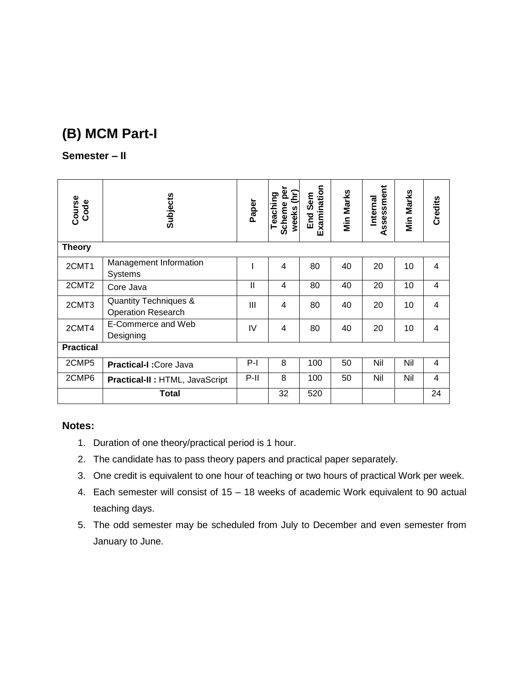# **(B) MCM Part-I**

### **Semester – II**

| Course<br>Code    | <b>Subjects</b>                                    | Paper          | Scheme pe<br>weeks (hr)<br>Teaching | Examination<br>End Sem | Min Marks | Assessment<br>Internal | Min Marks | <b>Credits</b> |
|-------------------|----------------------------------------------------|----------------|-------------------------------------|------------------------|-----------|------------------------|-----------|----------------|
| <b>Theory</b>     |                                                    |                |                                     |                        |           |                        |           |                |
| 2CMT1             | Management Information<br><b>Systems</b>           |                | 4                                   | 80                     | 40        | 20                     | 10        | 4              |
| 2CMT <sub>2</sub> | Core Java                                          | $\mathsf{I}$   | $\overline{4}$                      | 80                     | 40        | 20                     | 10        | 4              |
| 2CMT3             | Quantity Techniques &<br><b>Operation Research</b> | $\mathbf{III}$ | $\overline{4}$                      | 80                     | 40        | 20                     | 10        | 4              |
| 2CMT4             | E-Commerce and Web<br>Designing                    | IV             | $\overline{4}$                      | 80                     | 40        | 20                     | 10        | 4              |
| <b>Practical</b>  |                                                    |                |                                     |                        |           |                        |           |                |
| 2CMP5             | <b>Practical-I: Core Java</b>                      | $P-I$          | 8                                   | 100                    | 50        | Nil                    | Nil       | 4              |
| 2CMP6             | Practical-II : HTML, JavaScript                    | $P-II$         | 8                                   | 100                    | 50        | Nil                    | Nil       | 4              |
|                   | Total                                              |                | 32                                  | 520                    |           |                        |           | 24             |

- 1. Duration of one theory/practical period is 1 hour.
- 2. The candidate has to pass theory papers and practical paper separately.
- 3. One credit is equivalent to one hour of teaching or two hours of practical Work per week.
- 4. Each semester will consist of 15 18 weeks of academic Work equivalent to 90 actual teaching days.
- 5. The odd semester may be scheduled from July to December and even semester from January to June.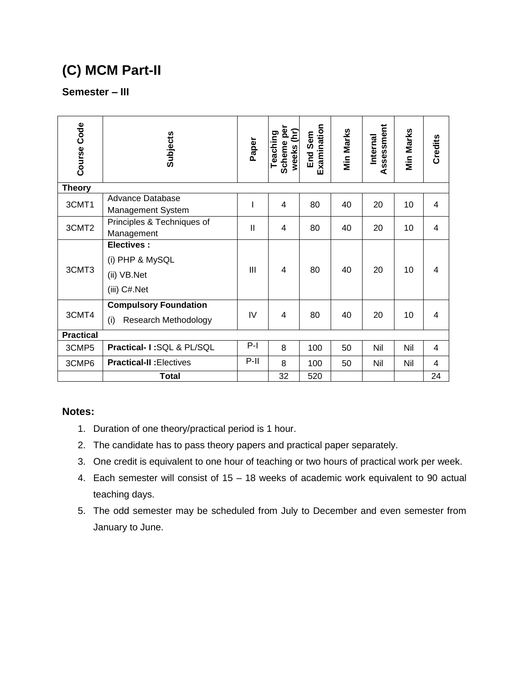# **(C) MCM Part-II**

### **Semester – III**

| Course Code      | <b>Subjects</b>                                                     | Paper          | Scheme per<br>weeks (hr)<br>Teaching | Examination<br>End Sem | <b>Min Marks</b> | Assessment<br>Internal | Min Marks | Credits        |
|------------------|---------------------------------------------------------------------|----------------|--------------------------------------|------------------------|------------------|------------------------|-----------|----------------|
| <b>Theory</b>    |                                                                     |                |                                      |                        |                  |                        |           |                |
| 3CMT1            | <b>Advance Database</b><br><b>Management System</b>                 | I              | 4                                    | 80                     | 40               | 20                     | 10        | 4              |
| 3CMT2            | Principles & Techniques of<br>Management                            | $\mathbf{I}$   | 4                                    | 80                     | 40               | 20                     | 10        | 4              |
| 3CMT3            | <b>Electives:</b><br>(i) PHP & MySQL<br>(ii) VB.Net<br>(iii) C#.Net | $\mathbf{III}$ | 4                                    | 80                     | 40               | 20                     | 10        | 4              |
| 3CMT4            | <b>Compulsory Foundation</b><br>Research Methodology<br>(i)         | IV             | $\overline{4}$                       | 80                     | 40               | 20                     | 10        | $\overline{4}$ |
| <b>Practical</b> |                                                                     |                |                                      |                        |                  |                        |           |                |
| 3CMP5            | Practical- I:SQL & PL/SQL                                           | $P-I$          | 8                                    | 100                    | 50               | Nil                    | Nil       | 4              |
| 3CMP6            | <b>Practical-II: Electives</b>                                      | $P-II$         | 8                                    | 100                    | 50               | Nil                    | Nil       | 4              |
|                  | Total                                                               |                | 32                                   | 520                    |                  |                        |           | 24             |

- 1. Duration of one theory/practical period is 1 hour.
- 2. The candidate has to pass theory papers and practical paper separately.
- 3. One credit is equivalent to one hour of teaching or two hours of practical work per week.
- 4. Each semester will consist of 15 18 weeks of academic work equivalent to 90 actual teaching days.
- 5. The odd semester may be scheduled from July to December and even semester from January to June.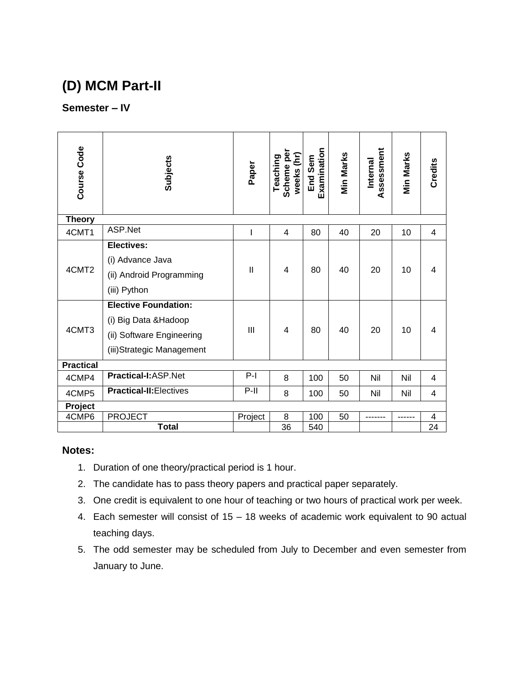## **(D) MCM Part-II**

### **Semester – IV**

| Course Code      | Subjects                                                                                                         | Paper          | Scheme per<br>weeks (hr)<br>Teaching | Examination<br>End Sem | <b>Min Marks</b> | Assessment<br>Internal | Min Marks | Credits                 |
|------------------|------------------------------------------------------------------------------------------------------------------|----------------|--------------------------------------|------------------------|------------------|------------------------|-----------|-------------------------|
| <b>Theory</b>    |                                                                                                                  |                |                                      |                        |                  |                        |           |                         |
| 4CMT1            | ASP.Net                                                                                                          |                | $\overline{4}$                       | 80                     | 40               | 20                     | 10        | 4                       |
| 4CMT2            | <b>Electives:</b><br>(i) Advance Java<br>(ii) Android Programming<br>(iii) Python<br><b>Elective Foundation:</b> | $\mathbf{II}$  | $\overline{4}$                       | 80                     | 40               | 20                     | 10        | 4                       |
| 4CMT3            | (i) Big Data & Hadoop<br>(ii) Software Engineering<br>(iii) Strategic Management                                 | $\mathbf{III}$ | 4                                    | 80                     | 40               | 20                     | 10        | 4                       |
| <b>Practical</b> |                                                                                                                  |                |                                      |                        |                  |                        |           |                         |
| 4CMP4            | Practical-I:ASP.Net                                                                                              | $P-I$          | 8                                    | 100                    | 50               | Nil                    | Nil       | 4                       |
| 4CMP5            | <b>Practical-II:</b> Electives                                                                                   | $P-II$         | 8                                    | 100                    | 50               | Nil                    | Nil       | 4                       |
| Project          |                                                                                                                  |                |                                      |                        |                  |                        |           |                         |
| 4CMP6            | <b>PROJECT</b>                                                                                                   | Project        | 8                                    | 100                    | 50               |                        |           | $\overline{\mathbf{4}}$ |
|                  | <b>Total</b>                                                                                                     |                | 36                                   | 540                    |                  |                        |           | 24                      |

- 1. Duration of one theory/practical period is 1 hour.
- 2. The candidate has to pass theory papers and practical paper separately.
- 3. One credit is equivalent to one hour of teaching or two hours of practical work per week.
- 4. Each semester will consist of 15 18 weeks of academic work equivalent to 90 actual teaching days.
- 5. The odd semester may be scheduled from July to December and even semester from January to June.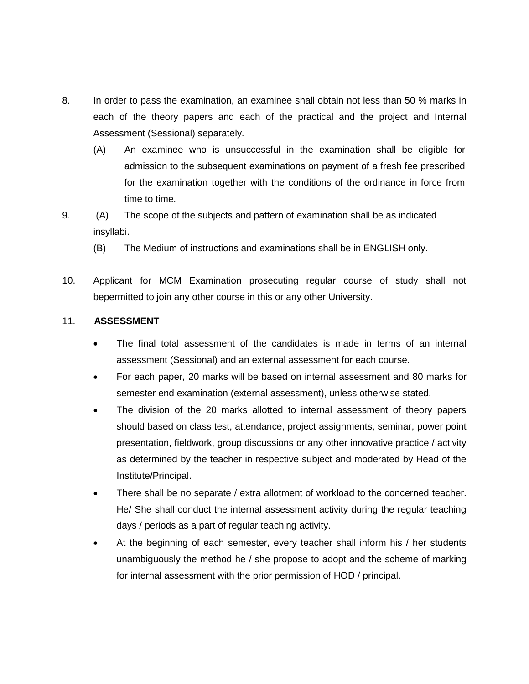- 8. In order to pass the examination, an examinee shall obtain not less than 50 % marks in each of the theory papers and each of the practical and the project and Internal Assessment (Sessional) separately.
	- (A) An examinee who is unsuccessful in the examination shall be eligible for admission to the subsequent examinations on payment of a fresh fee prescribed for the examination together with the conditions of the ordinance in force from time to time.
- 9. (A) The scope of the subjects and pattern of examination shall be as indicated insyllabi.
	- (B) The Medium of instructions and examinations shall be in ENGLISH only.
- 10. Applicant for MCM Examination prosecuting regular course of study shall not bepermitted to join any other course in this or any other University.

#### 11. **ASSESSMENT**

- The final total assessment of the candidates is made in terms of an internal assessment (Sessional) and an external assessment for each course.
- For each paper, 20 marks will be based on internal assessment and 80 marks for semester end examination (external assessment), unless otherwise stated.
- The division of the 20 marks allotted to internal assessment of theory papers should based on class test, attendance, project assignments, seminar, power point presentation, fieldwork, group discussions or any other innovative practice / activity as determined by the teacher in respective subject and moderated by Head of the Institute/Principal.
- There shall be no separate / extra allotment of workload to the concerned teacher. He/ She shall conduct the internal assessment activity during the regular teaching days / periods as a part of regular teaching activity.
- At the beginning of each semester, every teacher shall inform his / her students unambiguously the method he / she propose to adopt and the scheme of marking for internal assessment with the prior permission of HOD / principal.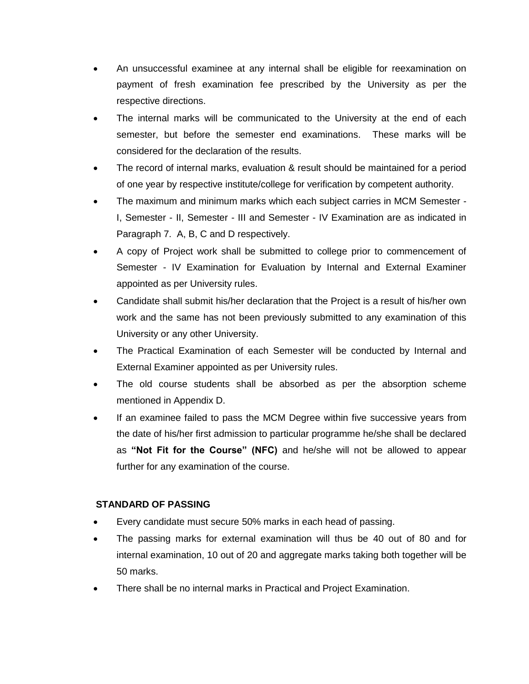- An unsuccessful examinee at any internal shall be eligible for reexamination on payment of fresh examination fee prescribed by the University as per the respective directions.
- The internal marks will be communicated to the University at the end of each semester, but before the semester end examinations. These marks will be considered for the declaration of the results.
- The record of internal marks, evaluation & result should be maintained for a period of one year by respective institute/college for verification by competent authority.
- The maximum and minimum marks which each subject carries in MCM Semester I, Semester - II, Semester - III and Semester - IV Examination are as indicated in Paragraph 7. A, B, C and D respectively.
- A copy of Project work shall be submitted to college prior to commencement of Semester - IV Examination for Evaluation by Internal and External Examiner appointed as per University rules.
- Candidate shall submit his/her declaration that the Project is a result of his/her own work and the same has not been previously submitted to any examination of this University or any other University.
- The Practical Examination of each Semester will be conducted by Internal and External Examiner appointed as per University rules.
- The old course students shall be absorbed as per the absorption scheme mentioned in Appendix D.
- If an examinee failed to pass the MCM Degree within five successive years from the date of his/her first admission to particular programme he/she shall be declared as **"Not Fit for the Course" (NFC)** and he/she will not be allowed to appear further for any examination of the course.

#### **STANDARD OF PASSING**

- Every candidate must secure 50% marks in each head of passing.
- The passing marks for external examination will thus be 40 out of 80 and for internal examination, 10 out of 20 and aggregate marks taking both together will be 50 marks.
- There shall be no internal marks in Practical and Project Examination.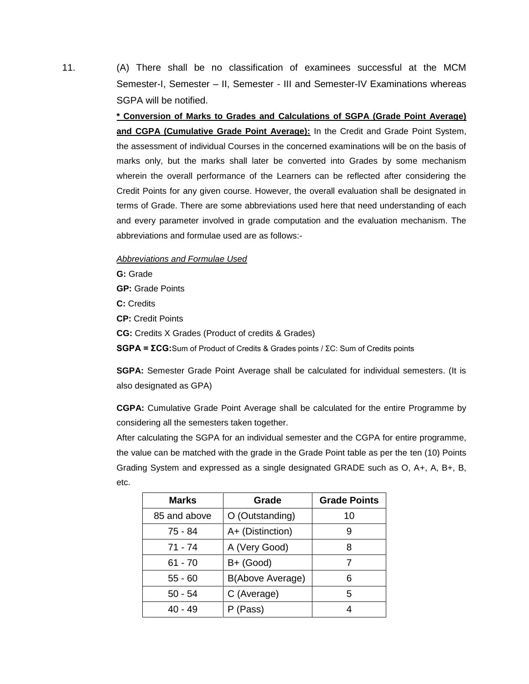11. (A) There shall be no classification of examinees successful at the MCM Semester-I, Semester – II, Semester - III and Semester-IV Examinations whereas SGPA will be notified.

> **\* Conversion of Marks to Grades and Calculations of SGPA (Grade Point Average) and CGPA (Cumulative Grade Point Average):** In the Credit and Grade Point System, the assessment of individual Courses in the concerned examinations will be on the basis of marks only, but the marks shall later be converted into Grades by some mechanism wherein the overall performance of the Learners can be reflected after considering the Credit Points for any given course. However, the overall evaluation shall be designated in terms of Grade. There are some abbreviations used here that need understanding of each and every parameter involved in grade computation and the evaluation mechanism. The abbreviations and formulae used are as follows:-

#### *Abbreviations and Formulae Used*

**G:** Grade **GP:** Grade Points **C:** Credits **CP:** Credit Points **CG:** Credits X Grades (Product of credits & Grades) **SGPA = ΣCG:**Sum of Product of Credits & Grades points / ΣC: Sum of Credits points

**SGPA:** Semester Grade Point Average shall be calculated for individual semesters. (It is also designated as GPA)

**CGPA:** Cumulative Grade Point Average shall be calculated for the entire Programme by considering all the semesters taken together.

After calculating the SGPA for an individual semester and the CGPA for entire programme, the value can be matched with the grade in the Grade Point table as per the ten (10) Points Grading System and expressed as a single designated GRADE such as O, A+, A, B+, B, etc.

| <b>Marks</b> | Grade            | <b>Grade Points</b> |
|--------------|------------------|---------------------|
| 85 and above | O (Outstanding)  | 10                  |
| 75 - 84      | A+ (Distinction) | 9                   |
| $71 - 74$    | A (Very Good)    |                     |
| $61 - 70$    | $B+$ (Good)      |                     |
| $55 - 60$    | B(Above Average) | 6                   |
| $50 - 54$    | C (Average)      | 5                   |
| 40 - 49      | (Pass)           |                     |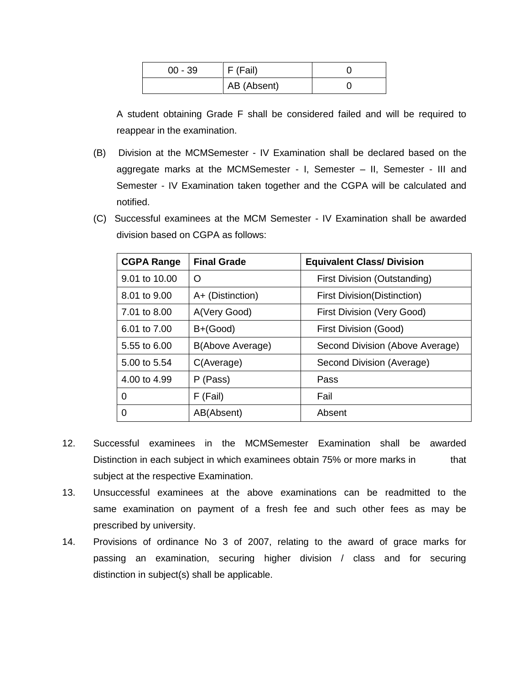| $00 - 39$ | F (Fail)    |  |
|-----------|-------------|--|
|           | AB (Absent) |  |

A student obtaining Grade F shall be considered failed and will be required to reappear in the examination.

- (B) Division at the MCMSemester IV Examination shall be declared based on the aggregate marks at the MCMSemester - I, Semester – II, Semester - III and Semester - IV Examination taken together and the CGPA will be calculated and notified.
- (C) Successful examinees at the MCM Semester IV Examination shall be awarded division based on CGPA as follows:

| <b>CGPA Range</b> | <b>Final Grade</b> | <b>Equivalent Class/ Division</b>   |
|-------------------|--------------------|-------------------------------------|
| 9.01 to 10.00     | O                  | First Division (Outstanding)        |
| 8.01 to 9.00      | A+ (Distinction)   | <b>First Division (Distinction)</b> |
| 7.01 to 8.00      | A(Very Good)       | First Division (Very Good)          |
| 6.01 to 7.00      | $B+(Good)$         | First Division (Good)               |
| 5.55 to 6.00      | B(Above Average)   | Second Division (Above Average)     |
| 5.00 to 5.54      | C(Average)         | Second Division (Average)           |
| 4.00 to 4.99      | P (Pass)           | Pass                                |
| 0                 | F (Fail)           | Fail                                |
| 0                 | AB(Absent)         | Absent                              |

- 12. Successful examinees in the MCMSemester Examination shall be awarded Distinction in each subject in which examinees obtain 75% or more marks in that subject at the respective Examination.
- 13. Unsuccessful examinees at the above examinations can be readmitted to the same examination on payment of a fresh fee and such other fees as may be prescribed by university.
- 14. Provisions of ordinance No 3 of 2007, relating to the award of grace marks for passing an examination, securing higher division / class and for securing distinction in subject(s) shall be applicable.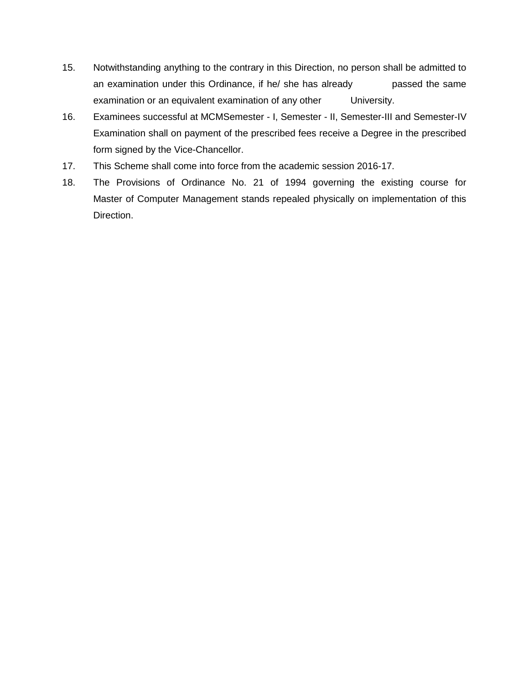- 15. Notwithstanding anything to the contrary in this Direction, no person shall be admitted to an examination under this Ordinance, if he/ she has already passed the same examination or an equivalent examination of any other University.
- 16. Examinees successful at MCMSemester I, Semester II, Semester-III and Semester-IV Examination shall on payment of the prescribed fees receive a Degree in the prescribed form signed by the Vice-Chancellor.
- 17. This Scheme shall come into force from the academic session 2016-17.
- 18. The Provisions of Ordinance No. 21 of 1994 governing the existing course for Master of Computer Management stands repealed physically on implementation of this Direction.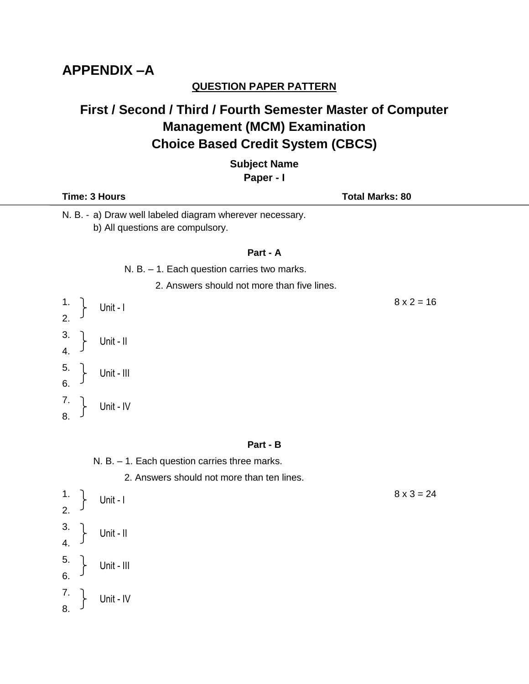## **APPENDIX –A**

### **QUESTION PAPER PATTERN**

## **First / Second / Third / Fourth Semester Master of Computer Management (MCM) Examination Choice Based Credit System (CBCS)**

**Subject Name**

**Paper - I**

| Time: 3 Hours                                                                                | <b>Total Marks: 80</b> |
|----------------------------------------------------------------------------------------------|------------------------|
| N. B. - a) Draw well labeled diagram wherever necessary.<br>b) All questions are compulsory. |                        |
| Part - A                                                                                     |                        |
| N. B. $-1$ . Each question carries two marks.                                                |                        |
| 2. Answers should not more than five lines.                                                  |                        |
| $\frac{1}{2}$<br>Unit - I                                                                    | $8 \times 2 = 16$      |
| $\frac{3}{4}$ .<br>Unit - II                                                                 |                        |
| 5 <sub>1</sub><br>Unit - III<br>6.                                                           |                        |
| $\begin{array}{c} 7. \\ 8. \end{array}$<br>Unit - IV                                         |                        |

#### **Part - B**

N. B. – 1. Each question carries three marks.

2. Answers should not more than ten lines.

1.  $\int_{1}^{1} \ln t \, dt$ 2. 3. 4. 5. 6. 7. 8. Unit - I Unit - II Unit - III Unit - IV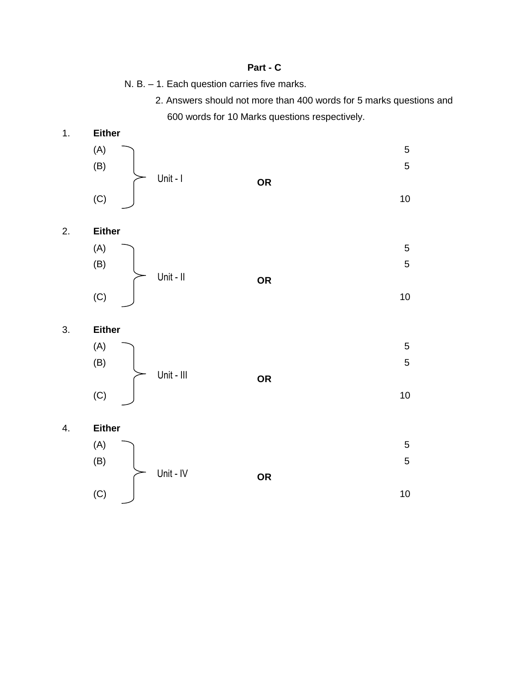#### **Part - C**

N. B. – 1. Each question carries five marks.

2. Answers should not more than 400 words for 5 marks questions and 600 words for 10 Marks questions respectively.



2. **Either**



 $(C)$  10



4. **Either**

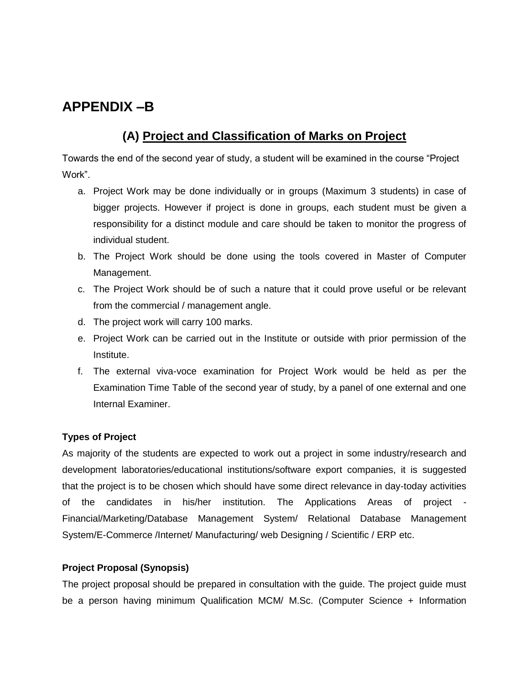### **APPENDIX –B**

### **(A) Project and Classification of Marks on Project**

Towards the end of the second year of study, a student will be examined in the course "Project Work".

- a. Project Work may be done individually or in groups (Maximum 3 students) in case of bigger projects. However if project is done in groups, each student must be given a responsibility for a distinct module and care should be taken to monitor the progress of individual student.
- b. The Project Work should be done using the tools covered in Master of Computer Management.
- c. The Project Work should be of such a nature that it could prove useful or be relevant from the commercial / management angle.
- d. The project work will carry 100 marks.
- e. Project Work can be carried out in the Institute or outside with prior permission of the Institute.
- f. The external viva-voce examination for Project Work would be held as per the Examination Time Table of the second year of study, by a panel of one external and one Internal Examiner.

### **Types of Project**

As majority of the students are expected to work out a project in some industry/research and development laboratories/educational institutions/software export companies, it is suggested that the project is to be chosen which should have some direct relevance in day-today activities of the candidates in his/her institution. The Applications Areas of project - Financial/Marketing/Database Management System/ Relational Database Management System/E-Commerce /Internet/ Manufacturing/ web Designing / Scientific / ERP etc.

#### **Project Proposal (Synopsis)**

The project proposal should be prepared in consultation with the guide. The project guide must be a person having minimum Qualification MCM/ M.Sc. (Computer Science + Information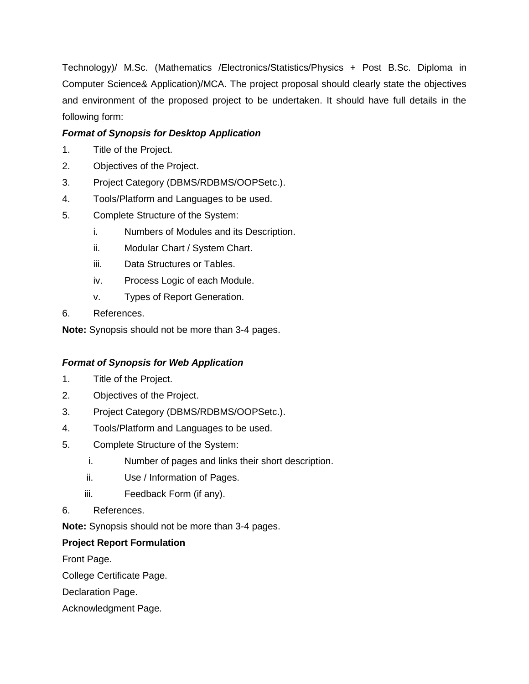Technology)/ M.Sc. (Mathematics /Electronics/Statistics/Physics + Post B.Sc. Diploma in Computer Science& Application)/MCA. The project proposal should clearly state the objectives and environment of the proposed project to be undertaken. It should have full details in the following form:

### *Format of Synopsis for Desktop Application*

- 1. Title of the Project.
- 2. Objectives of the Project.
- 3. Project Category (DBMS/RDBMS/OOPSetc.).
- 4. Tools/Platform and Languages to be used.
- 5. Complete Structure of the System:
	- i. Numbers of Modules and its Description.
	- ii. Modular Chart / System Chart.
	- iii. Data Structures or Tables.
	- iv. Process Logic of each Module.
	- v. Types of Report Generation.
- 6. References.

**Note:** Synopsis should not be more than 3-4 pages.

#### *Format of Synopsis for Web Application*

- 1. Title of the Project.
- 2. Objectives of the Project.
- 3. Project Category (DBMS/RDBMS/OOPSetc.).
- 4. Tools/Platform and Languages to be used.
- 5. Complete Structure of the System:
	- i. Number of pages and links their short description.
	- ii. Use / Information of Pages.
	- iii. Feedback Form (if any).
- 6. References.

**Note:** Synopsis should not be more than 3-4 pages.

#### **Project Report Formulation**

Front Page.

College Certificate Page.

Declaration Page.

Acknowledgment Page.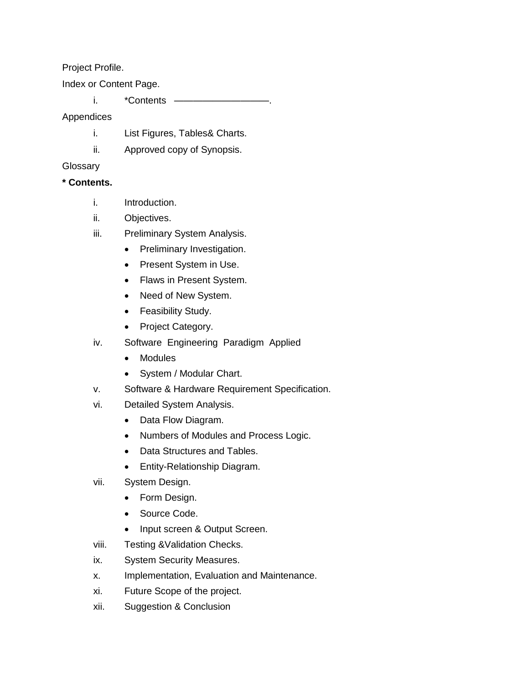Project Profile.

Index or Content Page.

i. \*Contents —

Appendices

- i. List Figures, Tables& Charts.
- ii. Approved copy of Synopsis.

#### **Glossary**

#### **\* Contents.**

- i. Introduction.
- ii. Objectives.
- iii. Preliminary System Analysis.
	- Preliminary Investigation.
	- Present System in Use.
	- Flaws in Present System.
	- Need of New System.
	- Feasibility Study.
	- Project Category.
- iv. Software Engineering Paradigm Applied
	- Modules
	- System / Modular Chart.
- v. Software & Hardware Requirement Specification.
- vi. Detailed System Analysis.
	- Data Flow Diagram.
	- Numbers of Modules and Process Logic.
	- Data Structures and Tables.
	- Entity-Relationship Diagram.
- vii. System Design.
	- Form Design.
	- Source Code.
	- Input screen & Output Screen.
- viii. Testing &Validation Checks.
- ix. System Security Measures.
- x. Implementation, Evaluation and Maintenance.
- xi. Future Scope of the project.
- xii. Suggestion & Conclusion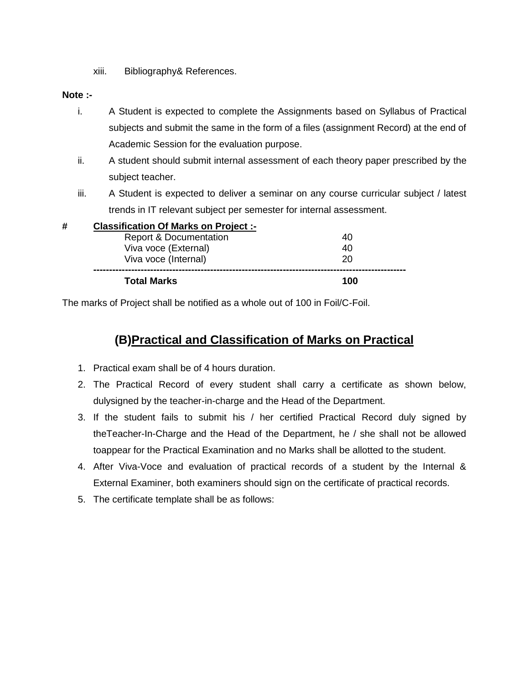xiii. Bibliography& References.

#### **Note :-**

- i. A Student is expected to complete the Assignments based on Syllabus of Practical subjects and submit the same in the form of a files (assignment Record) at the end of Academic Session for the evaluation purpose.
- ii. A student should submit internal assessment of each theory paper prescribed by the subject teacher.
- iii. A Student is expected to deliver a seminar on any course curricular subject / latest trends in IT relevant subject per semester for internal assessment.

|   | <b>Total Marks</b>                           | 100 |
|---|----------------------------------------------|-----|
|   | Viva voce (Internal)                         | 20  |
|   | Viva voce (External)                         | 40  |
|   | <b>Report &amp; Documentation</b>            | 40  |
| # | <b>Classification Of Marks on Project :-</b> |     |

The marks of Project shall be notified as a whole out of 100 in Foil/C-Foil.

### **(B)Practical and Classification of Marks on Practical**

- 1. Practical exam shall be of 4 hours duration.
- 2. The Practical Record of every student shall carry a certificate as shown below, dulysigned by the teacher-in-charge and the Head of the Department.
- 3. If the student fails to submit his / her certified Practical Record duly signed by theTeacher-In-Charge and the Head of the Department, he / she shall not be allowed toappear for the Practical Examination and no Marks shall be allotted to the student.
- 4. After Viva-Voce and evaluation of practical records of a student by the Internal & External Examiner, both examiners should sign on the certificate of practical records.
- 5. The certificate template shall be as follows: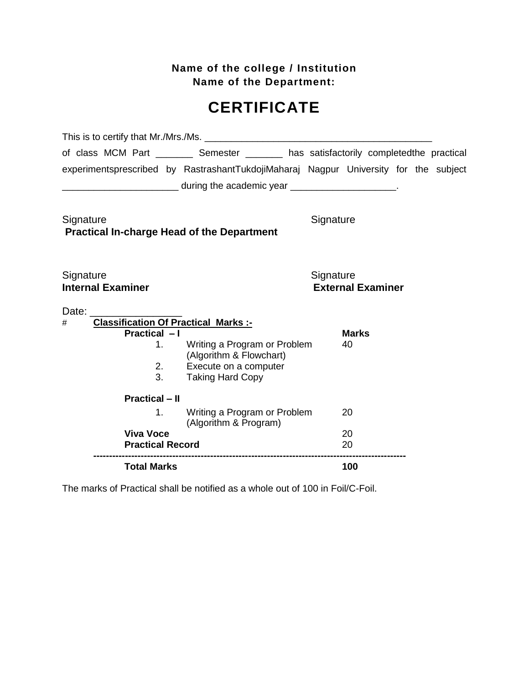**Name of the college / Institution Name of the Department:** 

# **CERTIFICATE**

|                                                                                | of class MCM Part __________ Semester ________ has satisfactorily completedthe practical |                    |  |  |  |  |
|--------------------------------------------------------------------------------|------------------------------------------------------------------------------------------|--------------------|--|--|--|--|
|                                                                                | experimentsprescribed by RastrashantTukdojiMaharaj Nagpur University for the subject     |                    |  |  |  |  |
|                                                                                | during the academic year ______________________.                                         |                    |  |  |  |  |
| Signature<br>Signature<br><b>Practical In-charge Head of the Department</b>    |                                                                                          |                    |  |  |  |  |
| Signature<br>Signature<br><b>Internal Examiner</b><br><b>External Examiner</b> |                                                                                          |                    |  |  |  |  |
| Date:                                                                          |                                                                                          |                    |  |  |  |  |
| <b>Classification Of Practical Marks :-</b><br>#<br>Practical - I              |                                                                                          |                    |  |  |  |  |
| 1.                                                                             | Writing a Program or Problem                                                             | <b>Marks</b><br>40 |  |  |  |  |
|                                                                                | (Algorithm & Flowchart)                                                                  |                    |  |  |  |  |
| 2.                                                                             | Execute on a computer                                                                    |                    |  |  |  |  |
| 3.                                                                             | <b>Taking Hard Copy</b>                                                                  |                    |  |  |  |  |
| <b>Practical - II</b>                                                          |                                                                                          |                    |  |  |  |  |
| 1.                                                                             | Writing a Program or Problem<br>(Algorithm & Program)                                    | 20                 |  |  |  |  |
| <b>Viva Voce</b>                                                               |                                                                                          | 20                 |  |  |  |  |
| <b>Practical Record</b>                                                        |                                                                                          | 20                 |  |  |  |  |
| <b>Total Marks</b>                                                             |                                                                                          | 100                |  |  |  |  |

The marks of Practical shall be notified as a whole out of 100 in Foil/C-Foil.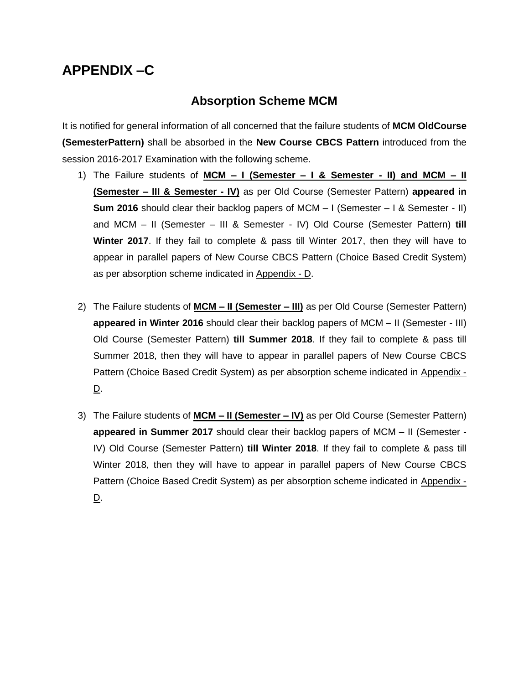## **APPENDIX –C**

### **Absorption Scheme MCM**

It is notified for general information of all concerned that the failure students of **MCM OldCourse (SemesterPattern)** shall be absorbed in the **New Course CBCS Pattern** introduced from the session 2016-2017 Examination with the following scheme.

- 1) The Failure students of **MCM – I (Semester – I & Semester - II) and MCM – II (Semester – III & Semester - IV)** as per Old Course (Semester Pattern) **appeared in Sum 2016** should clear their backlog papers of MCM – I (Semester – I & Semester - II) and MCM – II (Semester – III & Semester - IV) Old Course (Semester Pattern) **till Winter 2017**. If they fail to complete & pass till Winter 2017, then they will have to appear in parallel papers of New Course CBCS Pattern (Choice Based Credit System) as per absorption scheme indicated in Appendix - D.
- 2) The Failure students of **MCM – II (Semester – III)** as per Old Course (Semester Pattern) **appeared in Winter 2016** should clear their backlog papers of MCM – II (Semester - III) Old Course (Semester Pattern) **till Summer 2018**. If they fail to complete & pass till Summer 2018, then they will have to appear in parallel papers of New Course CBCS Pattern (Choice Based Credit System) as per absorption scheme indicated in Appendix -  $\underline{\mathsf{D}}$ .
- 3) The Failure students of **MCM – II (Semester – IV)** as per Old Course (Semester Pattern) **appeared in Summer 2017** should clear their backlog papers of MCM – II (Semester - IV) Old Course (Semester Pattern) **till Winter 2018**. If they fail to complete & pass till Winter 2018, then they will have to appear in parallel papers of New Course CBCS Pattern (Choice Based Credit System) as per absorption scheme indicated in Appendix - D.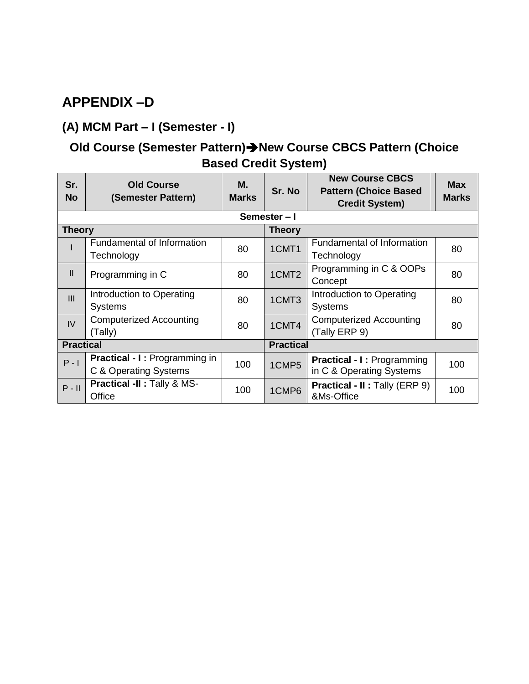## **APPENDIX –D**

## **(A) MCM Part – I (Semester - I)**

## **Old Course (Semester Pattern)New Course CBCS Pattern (Choice Based Credit System)**

| Sr.<br><b>No</b>               | <b>Old Course</b><br>(Semester Pattern)                | М.<br><b>Marks</b> | Sr. No            | <b>New Course CBCS</b><br><b>Pattern (Choice Based</b><br><b>Credit System)</b> | <b>Max</b><br><b>Marks</b> |  |
|--------------------------------|--------------------------------------------------------|--------------------|-------------------|---------------------------------------------------------------------------------|----------------------------|--|
|                                |                                                        |                    | Semester-I        |                                                                                 |                            |  |
| <b>Theory</b><br><b>Theory</b> |                                                        |                    |                   |                                                                                 |                            |  |
|                                | <b>Fundamental of Information</b><br>Technology        | 80                 | 1CMT1             | Fundamental of Information<br>Technology                                        | 80                         |  |
| $\mathbf{II}$                  | Programming in C                                       | 80                 | 1CMT <sub>2</sub> | Programming in C & OOPs<br>Concept                                              | 80                         |  |
| III                            | Introduction to Operating<br><b>Systems</b>            | 80                 | 1CMT3             | Introduction to Operating<br><b>Systems</b>                                     | 80                         |  |
| IV                             | <b>Computerized Accounting</b><br>(Tally)              | 80                 | 1CMT4             | <b>Computerized Accounting</b><br>(Tally ERP 9)                                 | 80                         |  |
| <b>Practical</b>               |                                                        |                    | <b>Practical</b>  |                                                                                 |                            |  |
| $P - I$                        | Practical - I: Programming in<br>C & Operating Systems | 100                | 1CMP5             | <b>Practical - I: Programming</b><br>in C & Operating Systems                   | 100                        |  |
| $P - II$                       | Practical -II : Tally & MS-<br>Office                  | 100                | 1CMP6             | <b>Practical - II: Tally (ERP 9)</b><br>&Ms-Office                              | 100                        |  |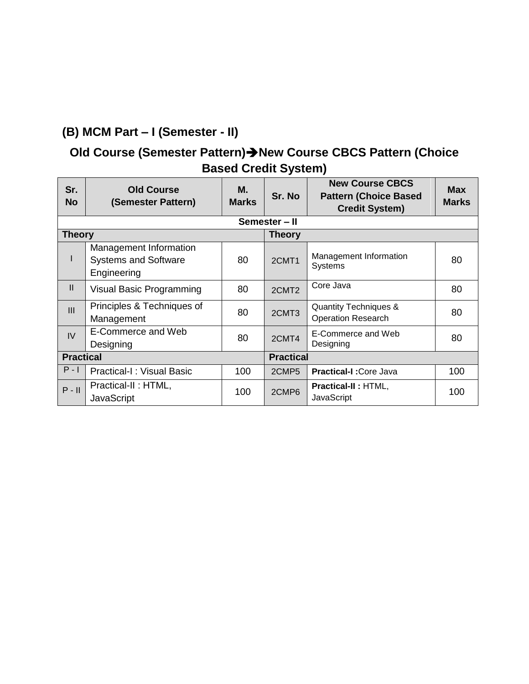## **(B) MCM Part – I (Semester - II)**

## **Old Course (Semester Pattern)New Course CBCS Pattern (Choice Based Credit System)**

| Sr.<br><b>No</b> | <b>Old Course</b><br>(Semester Pattern)                              | М.<br><b>Marks</b> | Sr. No            | <b>New Course CBCS</b><br><b>Pattern (Choice Based</b><br><b>Credit System)</b> | <b>Max</b><br><b>Marks</b> |  |  |  |
|------------------|----------------------------------------------------------------------|--------------------|-------------------|---------------------------------------------------------------------------------|----------------------------|--|--|--|
| Semester - II    |                                                                      |                    |                   |                                                                                 |                            |  |  |  |
| <b>Theory</b>    |                                                                      |                    | <b>Theory</b>     |                                                                                 |                            |  |  |  |
|                  | Management Information<br><b>Systems and Software</b><br>Engineering | 80                 | 2CMT1             | Management Information<br><b>Systems</b>                                        | 80                         |  |  |  |
| $\mathbf{I}$     | Visual Basic Programming                                             | 80                 | 2CMT2             | Core Java                                                                       | 80                         |  |  |  |
| III              | Principles & Techniques of<br>Management                             | 80                 | 2CMT3             | <b>Quantity Techniques &amp;</b><br><b>Operation Research</b>                   | 80                         |  |  |  |
| IV               | E-Commerce and Web<br>Designing                                      | 80                 | 2CMT4             | E-Commerce and Web<br>Designing                                                 | 80                         |  |  |  |
| <b>Practical</b> |                                                                      |                    | <b>Practical</b>  |                                                                                 |                            |  |  |  |
| $P - I$          | <b>Practical-I: Visual Basic</b>                                     | 100                | 2CMP <sub>5</sub> | <b>Practical-I: Core Java</b>                                                   | 100                        |  |  |  |
| $P - II$         | Practical-II: HTML,<br><b>JavaScript</b>                             | 100                | 2CMP6             | <b>Practical-II: HTML,</b><br><b>JavaScript</b>                                 | 100                        |  |  |  |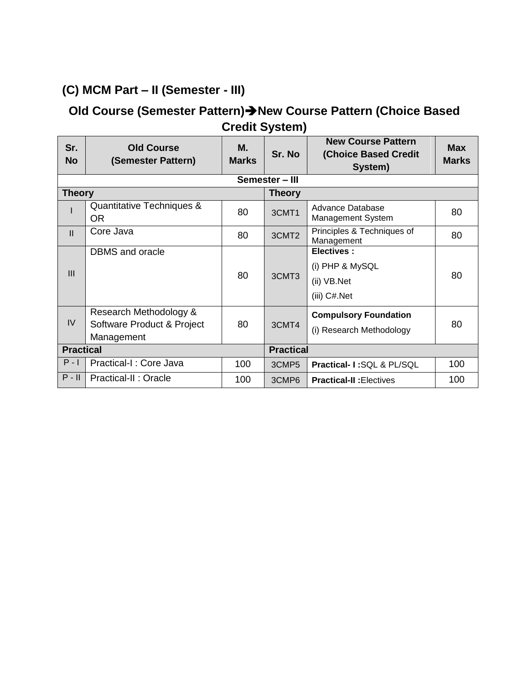## **(C) MCM Part – II (Semester - III)**

### **Old Course (Semester Pattern)New Course Pattern (Choice Based Credit System)**

| Sr.<br><b>No</b> | <b>Old Course</b><br>(Semester Pattern)                            | М.<br><b>Marks</b> | Sr. No            | <b>New Course Pattern</b><br><b>(Choice Based Credit</b><br>System) | <b>Max</b><br><b>Marks</b> |  |  |  |  |
|------------------|--------------------------------------------------------------------|--------------------|-------------------|---------------------------------------------------------------------|----------------------------|--|--|--|--|
| Semester - III   |                                                                    |                    |                   |                                                                     |                            |  |  |  |  |
| <b>Theory</b>    |                                                                    |                    | <b>Theory</b>     |                                                                     |                            |  |  |  |  |
|                  | Quantitative Techniques &<br>0R                                    | 80                 | 3CMT1             | Advance Database<br><b>Management System</b>                        | 80                         |  |  |  |  |
| $\mathbf{II}$    | Core Java                                                          | 80                 | 3CMT <sub>2</sub> | Principles & Techniques of<br>Management                            | 80                         |  |  |  |  |
| III              | <b>DBMS</b> and oracle                                             | 80                 | 3CMT <sub>3</sub> | <b>Electives:</b><br>(i) PHP & MySQL<br>(ii) VB.Net<br>(iii) C#.Net | 80                         |  |  |  |  |
| IV               | Research Methodology &<br>Software Product & Project<br>Management | 80                 | 3CMT4             | <b>Compulsory Foundation</b><br>(i) Research Methodology            | 80                         |  |  |  |  |
| <b>Practical</b> |                                                                    |                    | <b>Practical</b>  |                                                                     |                            |  |  |  |  |
| $P - I$          | Practical-I : Core Java                                            | 100                | 3CMP <sub>5</sub> | Practical- I:SQL & PL/SQL                                           | 100                        |  |  |  |  |
| $P - II$         | Practical-II: Oracle                                               | 100                | 3CMP6             | <b>Practical-II: Electives</b>                                      | 100                        |  |  |  |  |